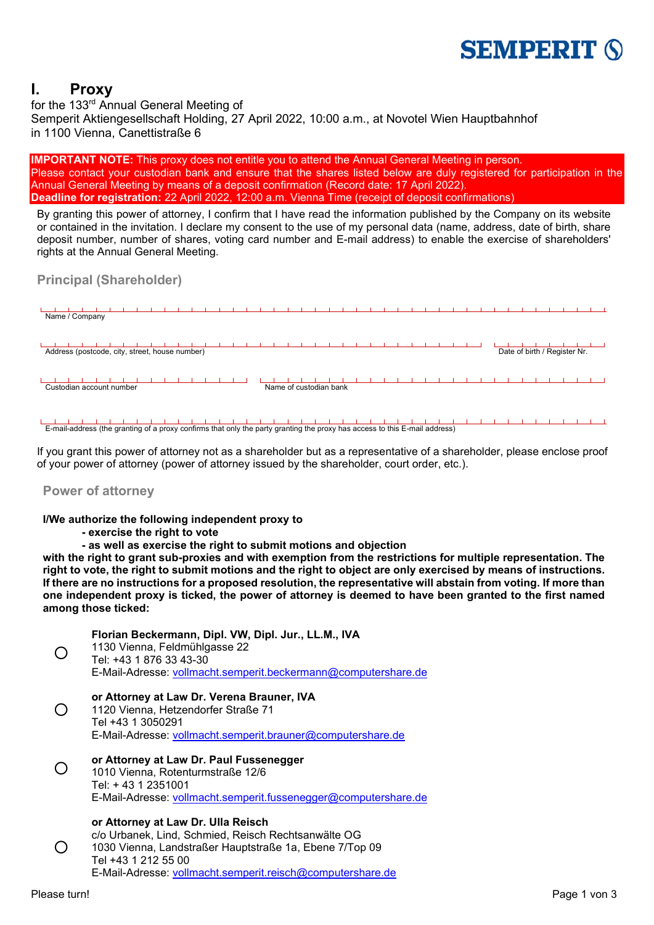# **SEMPERIT (S)**

## **I. Proxy**

for the 133rd Annual General Meeting of Semperit Aktiengesellschaft Holding, 27 April 2022, 10:00 a.m., at Novotel Wien Hauptbahnhof in 1100 Vienna, Canettistraße 6

**IMPORTANT NOTE:** This proxy does not entitle you to attend the Annual General Meeting in person. Please contact your custodian bank and ensure that the shares listed below are duly registered for participation in the Annual General Meeting by means of a deposit confirmation (Record date: 17 April 2022). **Deadline for registration:** 22 April 2022, 12:00 a.m. Vienna Time (receipt of deposit confirmations)

By granting this power of attorney, I confirm that I have read the information published by the Company on its website or contained in the invitation. I declare my consent to the use of my personal data (name, address, date of birth, share deposit number, number of shares, voting card number and E-mail address) to enable the exercise of shareholders' rights at the Annual General Meeting.

#### **Principal (Shareholder)**

| Name / Company                                 |                              |
|------------------------------------------------|------------------------------|
| Address (postcode, city, street, house number) | Date of birth / Register Nr. |
| Custodian account number                       | Name of custodian bank       |

E-mail-address (the granting of a proxy confirms that only the party granting the proxy has access to this E-mail address)

If you grant this power of attorney not as a shareholder but as a representative of a shareholder, please enclose proof of your power of attorney (power of attorney issued by the shareholder, court order, etc.).

#### **Power of attorney**

#### **I/We authorize the following independent proxy to**

- **- exercise the right to vote**
- **- as well as exercise the right to submit motions and objection**

**with the right to grant sub-proxies and with exemption from the restrictions for multiple representation. The right to vote, the right to submit motions and the right to object are only exercised by means of instructions. If there are no instructions for a proposed resolution, the representative will abstain from voting. If more than one independent proxy is ticked, the power of attorney is deemed to have been granted to the first named among those ticked:**



 $\bigcirc$ 

### **Florian Beckermann, Dipl. VW, Dipl. Jur., LL.M., IVA**

1130 Vienna, Feldmühlgasse 22 Tel: +43 1 876 33 43-30 E-Mail-Adresse: [vollmacht.semperit.beckermann@computershare.de](mailto:vollmacht.semperit.beckermann@computershare.de)

#### **or Attorney at Law Dr. Verena Brauner, IVA**

1120 Vienna, Hetzendorfer Straße 71 Tel +43 1 3050291 E-Mail-Adresse: [vollmacht.semperit.brauner@computershare.de](mailto:vollmacht.semperit.brauner@computershare.de)

 **or Attorney at Law Dr. Paul Fussenegger** 1010 Vienna, Rotenturmstraße 12/6 Tel: + 43 1 2351001 E-Mail-Adresse: [vollmacht.semperit.fussenegger@computershare.de](mailto:vollmacht.semperit.fussenegger@computershare.de)

#### **or Attorney at Law Dr. Ulla Reisch**

 $\bigcirc$ c/o Urbanek, Lind, Schmied, Reisch Rechtsanwälte OG 1030 Vienna, Landstraßer Hauptstraße 1a, Ebene 7/Top 09 Tel +43 1 212 55 00 E-Mail-Adresse: [vollmacht.semperit.reisch@computershare.de](mailto:vollmacht.semperit.reisch@computershare.de)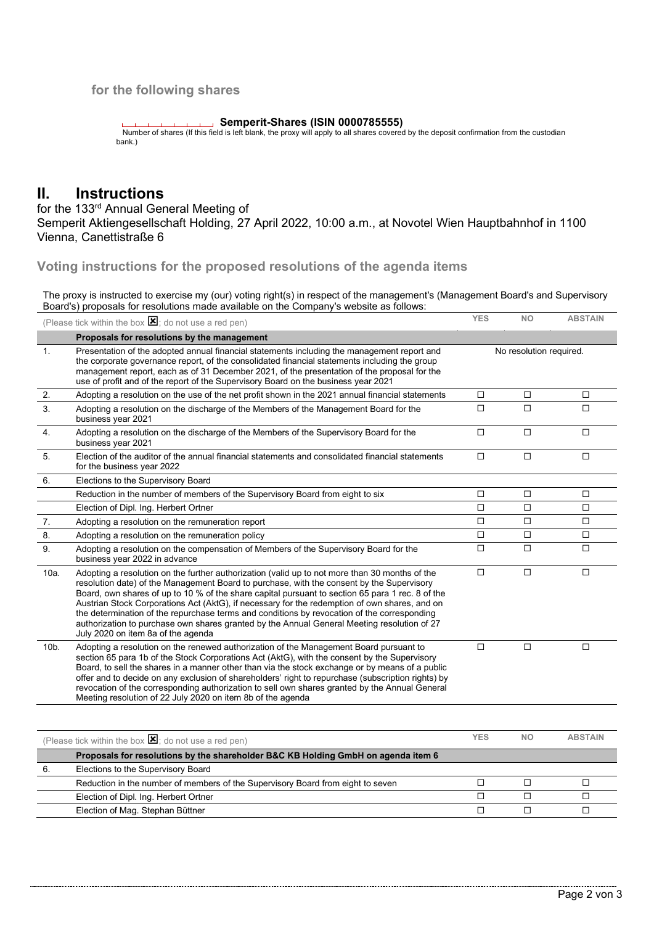#### **for the following shares**

#### **Semperit-Shares (ISIN 0000785555)**

 Number of shares (If this field is left blank, the proxy will apply to all shares covered by the deposit confirmation from the custodian bank.)

## **II. Instructions**

for the 133<sup>rd</sup> Annual General Meeting of Semperit Aktiengesellschaft Holding, 27 April 2022, 10:00 a.m., at Novotel Wien Hauptbahnhof in 1100 Vienna, Canettistraße 6

**Voting instructions for the proposed resolutions of the agenda items** 

The proxy is instructed to exercise my (our) voting right(s) in respect of the management's (Management Board's and Supervisory Board's) proposals for resolutions made available on the Company's website as follows:

|         | (Please tick within the box $\mathbf{\Sigma}$ ; do not use a red pen)                                                                                                                                                                                                                                                                                                                                                                                                                                                                                                                                                                | <b>YES</b>              | <b>NO</b> | <b>ABSTAIN</b> |
|---------|--------------------------------------------------------------------------------------------------------------------------------------------------------------------------------------------------------------------------------------------------------------------------------------------------------------------------------------------------------------------------------------------------------------------------------------------------------------------------------------------------------------------------------------------------------------------------------------------------------------------------------------|-------------------------|-----------|----------------|
|         | Proposals for resolutions by the management                                                                                                                                                                                                                                                                                                                                                                                                                                                                                                                                                                                          |                         |           |                |
| 1.      | Presentation of the adopted annual financial statements including the management report and<br>the corporate governance report, of the consolidated financial statements including the group<br>management report, each as of 31 December 2021, of the presentation of the proposal for the<br>use of profit and of the report of the Supervisory Board on the business year 2021                                                                                                                                                                                                                                                    | No resolution required. |           |                |
| 2.      | Adopting a resolution on the use of the net profit shown in the 2021 annual financial statements                                                                                                                                                                                                                                                                                                                                                                                                                                                                                                                                     | □                       | □         | $\Box$         |
| 3.      | Adopting a resolution on the discharge of the Members of the Management Board for the<br>business year 2021                                                                                                                                                                                                                                                                                                                                                                                                                                                                                                                          | $\Box$                  | $\Box$    | $\Box$         |
| 4.      | Adopting a resolution on the discharge of the Members of the Supervisory Board for the<br>business year 2021                                                                                                                                                                                                                                                                                                                                                                                                                                                                                                                         | $\Box$                  | $\Box$    | □              |
| 5.      | Election of the auditor of the annual financial statements and consolidated financial statements<br>for the business year 2022                                                                                                                                                                                                                                                                                                                                                                                                                                                                                                       | $\Box$                  | $\Box$    | $\Box$         |
| 6.      | Elections to the Supervisory Board                                                                                                                                                                                                                                                                                                                                                                                                                                                                                                                                                                                                   |                         |           |                |
|         | Reduction in the number of members of the Supervisory Board from eight to six                                                                                                                                                                                                                                                                                                                                                                                                                                                                                                                                                        | $\Box$                  | $\Box$    | $\Box$         |
|         | Election of Dipl. Ing. Herbert Ortner                                                                                                                                                                                                                                                                                                                                                                                                                                                                                                                                                                                                | $\Box$                  | $\Box$    | $\Box$         |
| 7.      | Adopting a resolution on the remuneration report                                                                                                                                                                                                                                                                                                                                                                                                                                                                                                                                                                                     | $\Box$                  | □         | $\Box$         |
| 8.      | Adopting a resolution on the remuneration policy                                                                                                                                                                                                                                                                                                                                                                                                                                                                                                                                                                                     | $\Box$                  | $\Box$    | $\Box$         |
| 9.      | Adopting a resolution on the compensation of Members of the Supervisory Board for the<br>business year 2022 in advance                                                                                                                                                                                                                                                                                                                                                                                                                                                                                                               | □                       | $\Box$    | □              |
| 10a.    | Adopting a resolution on the further authorization (valid up to not more than 30 months of the<br>resolution date) of the Management Board to purchase, with the consent by the Supervisory<br>Board, own shares of up to 10 % of the share capital pursuant to section 65 para 1 rec. 8 of the<br>Austrian Stock Corporations Act (AktG), if necessary for the redemption of own shares, and on<br>the determination of the repurchase terms and conditions by revocation of the corresponding<br>authorization to purchase own shares granted by the Annual General Meeting resolution of 27<br>July 2020 on item 8a of the agenda | $\Box$                  | $\Box$    | $\Box$         |
| $10b$ . | Adopting a resolution on the renewed authorization of the Management Board pursuant to<br>section 65 para 1b of the Stock Corporations Act (AktG), with the consent by the Supervisory<br>Board, to sell the shares in a manner other than via the stock exchange or by means of a public<br>offer and to decide on any exclusion of shareholders' right to repurchase (subscription rights) by<br>revocation of the corresponding authorization to sell own shares granted by the Annual General<br>Meeting resolution of 22 July 2020 on item 8b of the agenda                                                                     | $\Box$                  | $\Box$    | $\Box$         |
|         |                                                                                                                                                                                                                                                                                                                                                                                                                                                                                                                                                                                                                                      |                         |           |                |
|         | (Please tick within the box $\mathbf{\Sigma}$ ; do not use a red pen)                                                                                                                                                                                                                                                                                                                                                                                                                                                                                                                                                                | <b>YES</b>              | NO.       | <b>ABSTAIN</b> |
|         | Proposals for resolutions by the shareholder B&C KB Holding GmbH on agenda item 6                                                                                                                                                                                                                                                                                                                                                                                                                                                                                                                                                    |                         |           |                |
|         |                                                                                                                                                                                                                                                                                                                                                                                                                                                                                                                                                                                                                                      |                         |           |                |

| v. | Elections to the Supervisory Board                                              |  |  |
|----|---------------------------------------------------------------------------------|--|--|
|    | Reduction in the number of members of the Supervisory Board from eight to seven |  |  |
|    | Election of Dipl. Ing. Herbert Ortner                                           |  |  |
|    | Election of Mag. Stephan Büttner                                                |  |  |